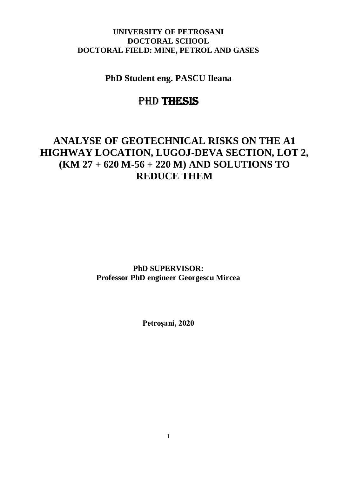### **UNIVERSITY OF PETROSANI DOCTORAL SCHOOL DOCTORAL FIELD: MINE, PETROL AND GASES**

### **PhD Student eng. PASCU Ileana**

## PHD THESIS

# **ANALYSE OF GEOTECHNICAL RISKS ON THE A1 HIGHWAY LOCATION, LUGOJ-DEVA SECTION, LOT 2, (KM 27 + 620 M-56 + 220 M) AND SOLUTIONS TO REDUCE THEM**

**PhD SUPERVISOR: Professor PhD engineer Georgescu Mircea**

**Petroșani, 2020**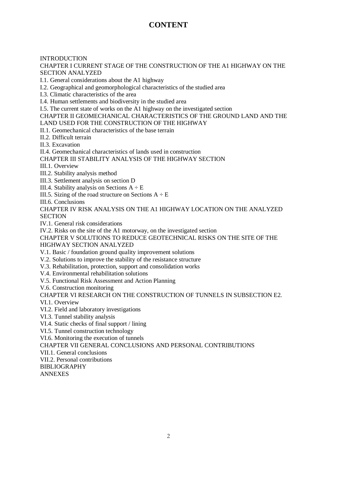## **CONTENT**

#### INTRODUCTION

CHAPTER I CURRENT STAGE OF THE CONSTRUCTION OF THE A1 HIGHWAY ON THE SECTION ANALYZED

I.1. General considerations about the A1 highway

I.2. Geographical and geomorphological characteristics of the studied area

I.3. Climatic characteristics of the area

I.4. Human settlements and biodiversity in the studied area

I.5. The current state of works on the A1 highway on the investigated section

CHAPTER II GEOMECHANICAL CHARACTERISTICS OF THE GROUND LAND AND THE

### LAND USED FOR THE CONSTRUCTION OF THE HIGHWAY

II.1. Geomechanical characteristics of the base terrain

II.2. Difficult terrain

II.3. Excavation

II.4. Geomechanical characteristics of lands used in construction

CHAPTER III STABILITY ANALYSIS OF THE HIGHWAY SECTION

III.1. Overview

III.2. Stability analysis method

III.3. Settlement analysis on section D

III.4. Stability analysis on Sections  $A \div E$ 

III.5. Sizing of the road structure on Sections  $A \div E$ 

III.6. Conclusions

CHAPTER IV RISK ANALYSIS ON THE A1 HIGHWAY LOCATION ON THE ANALYZED **SECTION** 

IV.1. General risk considerations

IV.2. Risks on the site of the A1 motorway, on the investigated section

CHAPTER V SOLUTIONS TO REDUCE GEOTECHNICAL RISKS ON THE SITE OF THE

HIGHWAY SECTION ANALYZED

V.1. Basic / foundation ground quality improvement solutions

V.2. Solutions to improve the stability of the resistance structure

V.3. Rehabilitation, protection, support and consolidation works

V.4. Environmental rehabilitation solutions

V.5. Functional Risk Assessment and Action Planning

V.6. Construction monitoring

CHAPTER VI RESEARCH ON THE CONSTRUCTION OF TUNNELS IN SUBSECTION E2.

VI.1. Overview

VI.2. Field and laboratory investigations

VI.3. Tunnel stability analysis

VI.4. Static checks of final support / lining

VI.5. Tunnel construction technology

VI.6. Monitoring the execution of tunnels

CHAPTER VII GENERAL CONCLUSIONS AND PERSONAL CONTRIBUTIONS

VII.1. General conclusions

VII.2. Personal contributions

BIBLIOGRAPHY

ANNEXES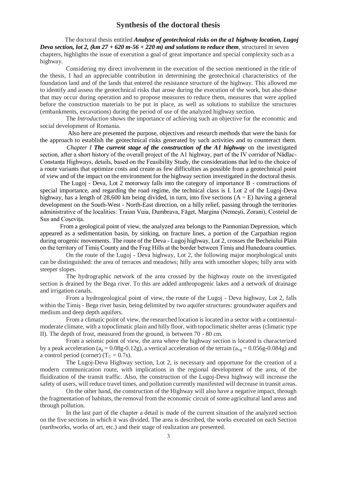### **Synthesis of the doctoral thesis**

 The doctoral thesis entitled *Analyse of geotechnical risks on the a1 highway location, Lugoj Deva section, lot 2, (km*  $27 + 620$  *m-56 + 220 m) and solutions to reduce them, structured in seven* chapters, highlights the issue of execution a goal of great importance and special complexity such as a highway.

Considering my direct involvement in the execution of the section mentioned in the title of the thesis, I had an appreciable contribution in determining the geotechnical characteristics of the foundation land and of the lands that entered the resistance structure of the highway. This allowed me to identify and assess the geotechnical risks that arose during the execution of the work, but also those that may occur during operation and to propose measures to reduce them, measures that were applied before the construction materials to be put in place, as well as solutions to stabilize the structures (embankments, excavations) during the period of use of the analyzed highway section.

The *Introduction* shows the importance of achieving such an objective for the economic and social development of Romania.

 Also here are presented the purpose, objectives and research methods that were the basis for the approach to establish the geotechnical risks generated by such activities and to counteract them.

 *Chapter I The current stage of the construction of the A1 highway* on the investigated section, after a short history of the overall project of the A1 highway, part of the IV corridor of Nădlac-Constanța Highways, details, based on the Feasibility Study, the considerations that led to the choice of a route variants that optimize costs and create as few difficulties as possible from a geotechnical point of view and of the impact on the environment for the highway section investigated in the doctoral thesis.

The Lugoj - Deva, Lot 2 motorway falls into the category of importance B - constructions of special importance, and regarding the road regime, the technical class is I. Lot 2 of the Lugoj-Deva highway, has a length of 28,600 km being divided, in turn, into five sections  $(A \div E)$  having a general development on the South-West - North-East direction, on a hilly relief, passing through the territories administrative of the localities: Traian Vuia, Dumbrava, Făget, Margina (Nemeşti, Zorani), Costeiul de Sus and Coșevița.

From a geological point of view, the analyzed area belongs to the Pannonian Depression, which appeared as a sedimentation basin, by sinking, on fracture lines, a portion of the Carpathian region during orogenic movements. The route of the Deva - Lugoj highway, Lot 2, crosses the Becheiului Plain on the territory of Timiș County and the Frag Hills at the border between Timiș and Hunedoara counties.

On the route of the Lugoj - Deva highway, Lot 2, the following major morphological units can be distinguished: the area of terraces and meadows; hilly area with smoother slopes; hilly area with steeper slopes.

 The hydrographic network of the area crossed by the highway route on the investigated section is drained by the Bega river. To this are added anthropogenic lakes and a network of drainage and irrigation canals.

From a hydrogeological point of view, the route of the Lugoj - Deva highway, Lot 2, falls within the Timis - Bega river basin, being delimited by two aquifer structures: groundwater aquifers and medium and deep depth aquifers.

From a climatic point of view, the researched location is located in a sector with a continentalmoderate climate, with a topoclimatic plain and hilly floor, with topoclimatic shelter areas (climatic type II). The depth of frost, measured from the ground, is between 70 - 80 cm.

From a seismic point of view, the area where the highway section is located is characterized by a peak acceleration ( $a_g = 0.08g-0.12g$ ), a vertical acceleration of the terrain ( $a_{vg} = 0.056g-0.084g$ ) and a control period (corner)  $(T_C = 0.7s)$ .

The Lugoj-Deva Highway section, Lot 2, is necessary and opportune for the creation of a modern communication route, with implications in the regional development of the area, of the fluidization of the transit traffic. Also, the construction of the Lugoj-Deva highway will increase the safety of users, will reduce travel times, and pollution currently manifested will decrease in transit areas.

On the other hand, the construction of the Highway will also have a negative impact, through the fragmentation of habitats, the removal from the economic circuit of some agricultural land areas and through pollution.

In the last part of the chapter a detail is made of the current situation of the analyzed section on the five sections in which it was divided. The area is described, the works executed on each Section (earthworks, works of art, etc.) and their stage of realization are presented.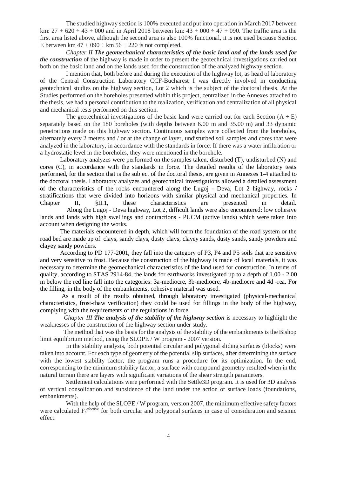The studied highway section is 100% executed and put into operation in March 2017 between km:  $27 + 620 \div 43 + 000$  and in April 2018 between km:  $43 + 000 \div 47 + 090$ . The traffic area is the first area listed above, although the second area is also 100% functional, it is not used because Section E between km  $47 + 090 \div$  km  $56 + 220$  is not completed.

*Chapter II The geomechanical characteristics of the basic land and of the lands used for the construction* of the highway is made in order to present the geotechnical investigations carried out both on the basic land and on the lands used for the construction of the analyzed highway section.

I mention that, both before and during the execution of the highway lot, as head of laboratory of the Central Construction Laboratory CCF-Bucharest I was directly involved in conducting geotechnical studies on the highway section, Lot 2 which is the subject of the doctoral thesis. At the Studies performed on the boreholes presented within this project, centralized in the Annexes attached to the thesis, we had a personal contribution to the realization, verification and centralization of all physical and mechanical tests performed on this section.

The geotechnical investigations of the basic land were carried out for each Section  $(A \div E)$ separately based on the 180 boreholes (with depths between 6.00 m and 35.00 m) and 33 dynamic penetrations made on this highway section. Continuous samples were collected from the boreholes, alternately every 2 meters and / or at the change of layer, undisturbed soil samples and cores that were analyzed in the laboratory, in accordance with the standards in force. If there was a water infiltration or a hydrostatic level in the boreholes, they were mentioned in the borehole.

Laboratory analyzes were performed on the samples taken, disturbed (T), undisturbed (N) and cores (C), in accordance with the standards in force. The detailed results of the laboratory tests performed, for the section that is the subject of the doctoral thesis, are given in Annexes 1-4 attached to the doctoral thesis. Laboratory analyzes and geotechnical investigations allowed a detailed assessment of the characteristics of the rocks encountered along the Lugoj - Deva, Lot 2 highway, rocks / stratifications that were divided into horizons with similar physical and mechanical properties. In Chapter II, §II.1, these characteristics are presented in detail.

 Along the Lugoj - Deva highway, Lot 2, difficult lands were also encountered: low cohesive lands and lands with high swellings and contractions - PUCM (active lands) which were taken into account when designing the works.

The materials encountered in depth, which will form the foundation of the road system or the road bed are made up of: clays, sandy clays, dusty clays, clayey sands, dusty sands, sandy powders and clayey sandy powders.

According to PD 177-2001, they fall into the category of P3, P4 and P5 soils that are sensitive and very sensitive to frost. Because the construction of the highway is made of local materials, it was necessary to determine the geomechanical characteristics of the land used for construction. In terms of quality, according to STAS 2914-84, the lands for earthworks investigated up to a depth of 1.00 - 2.00 m below the red line fall into the categories: 3a-mediocre, 3b-mediocre, 4b-mediocre and 4d -rea. For the filling, in the body of the embankments, cohesive material was used.

As a result of the results obtained, through laboratory investigated (physical-mechanical characteristics, frost-thaw verification) they could be used for fillings in the body of the highway, complying with the requirements of the regulations in force.

 *Chapter III The analysis of the stability of the highway section* is necessary to highlight the weaknesses of the construction of the highway section under study.

 The method that was the basis for the analysis of the stability of the embankments is the Bishop limit equilibrium method, using the SLOPE / W program - 2007 version.

In the stability analysis, both potential circular and polygonal sliding surfaces (blocks) were taken into account. For each type of geometry of the potential slip surfaces, after determining the surface with the lowest stability factor, the program runs a procedure for its optimization. In the end, corresponding to the minimum stability factor, a surface with compound geometry resulted when in the natural terrain there are layers with significant variations of the shear strength parameters.

Settlement calculations were performed with the Settle3D program. It is used for 3D analysis of vertical consolidation and subsidence of the land under the action of surface loads (foundations, embankments).

With the help of the SLOPE / W program, version 2007, the minimum effective safety factors were calculated  $F_s^{\text{effective}}$  for both circular and polygonal surfaces in case of consideration and seismic effect.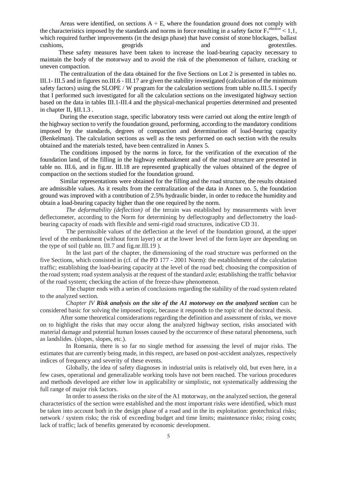Areas were identified, on sections  $A \div E$ , where the foundation ground does not comply with the characteristics imposed by the standards and norms in force resulting in a safety factor  $F_s^{\text{effective}} < 1,1$ , which required further improvements (in the design phase) that have consist of stone blockages, ballast cushions, geogrids and geotextiles. cushions, geogrids geogrids and geotextiles.

 These safety measures have been taken to increase the load-bearing capacity necessary to maintain the body of the motorway and to avoid the risk of the phenomenon of failure, cracking or uneven compaction.

The centralization of the data obtained for the five Sections on Lot 2 is presented in tables no. III.1- III.5 and in figures no.III.6 - III.17 are given the stability investigated (calculation of the minimum safety factors) using the SLOPE / W program for the calculation sections from table no.III.5. I specify that I performed such investigated for all the calculation sections on the investigated highway section based on the data in tables III.1-III.4 and the physical-mechanical properties determined and presented in chapter II, §II.1.3 .

During the execution stage, specific laboratory tests were carried out along the entire length of the highway section to verify the foundation ground, performing, according to the mandatory conditions imposed by the standards, degrees of compaction and determination of load-bearing capacity (Benkelman). The calculation sections as well as the tests performed on each section with the results obtained and the materials tested, have been centralized in Annex 5.

The conditions imposed by the norms in force, for the verification of the execution of the foundation land, of the filling in the highway embankment and of the road structure are presented in table no. III.6, and in fig.nr. III.18 are represented graphically the values obtained of the degree of compaction on the sections studied for the foundation ground.

Similar representations were obtained for the filling and the road structure, the results obtained are admissible values. As it results from the centralization of the data in Annex no. 5, the foundation ground was improved with a contribution of 2.5% hydraulic binder, in order to reduce the humidity and obtain a load-bearing capacity higher than the one required by the norm.

*The deformability (deflection)* of the terrain was established by measurements with lever deflectometer, according to the Norm for determining by deflectography and deflectometry the loadbearing capacity of roads with flexible and semi-rigid road structures, indicative CD 31.

The permissible values of the deflection at the level of the foundation ground, at the upper level of the embankment (without form layer) or at the lower level of the form layer are depending on the type of soil (table no. III.7 and fig.nr.III.19 ).

In the last part of the chapter, the dimensioning of the road structure was performed on the five Sections, which consisted in (cf. of the PD 177 - 2001 Norm): the establishment of the calculation traffic; establishing the load-bearing capacity at the level of the road bed; choosing the composition of the road system; road system analysis at the request of the standard axle; establishing the traffic behavior of the road system; checking the action of the freeze-thaw phenomenon.

The chapter ends with a series of conclusions regarding the stability of the road system related to the analyzed section.

*Chapter IV Risk analysis on the site of the A1 motorway on the analyzed section* can be considered basic for solving the imposed topic, because it responds to the topic of the doctoral thesis.

 After some theoretical considerations regarding the definition and assessment of risks, we move on to highlight the risks that may occur along the analyzed highway section, risks associated with material damage and potential human losses caused by the occurrence of these natural phenomena, such as landslides. (slopes, slopes, etc.).

In Romania, there is so far no single method for assessing the level of major risks. The estimates that are currently being made, in this respect, are based on post-accident analyzes, respectively indices of frequency and severity of these events.

Globally, the idea of safety diagnoses in industrial units is relatively old, but even here, in a few cases, operational and generalizable working tools have not been reached. The various procedures and methods developed are either low in applicability or simplistic, not systematically addressing the full range of major risk factors.

In order to assess the risks on the site of the A1 motorway, on the analyzed section, the general characteristics of the section were established and the most important risks were identified, which must be taken into account both in the design phase of a road and in the its exploitation: geotechnical risks; network / system risks; the risk of exceeding budget and time limits; maintenance risks; rising costs; lack of traffic; lack of benefits generated by economic development.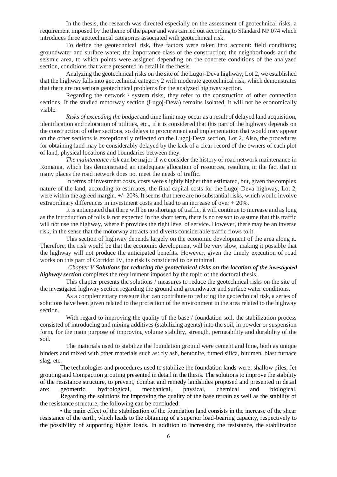In the thesis, the research was directed especially on the assessment of geotechnical risks, a requirement imposed by the theme of the paper and was carried out according to Standard NP 074 which introduces three geotechnical categories associated with geotechnical risk.

To define the geotechnical risk, five factors were taken into account: field conditions; groundwater and surface water; the importance class of the construction; the neighborhoods and the seismic area, to which points were assigned depending on the concrete conditions of the analyzed section, conditions that were presented in detail in the thesis.

Analyzing the geotechnical risks on the site of the Lugoj-Deva highway, Lot 2, we established that the highway falls into geotechnical category 2 with moderate geotechnical risk, which demonstrates that there are no serious geotechnical problems for the analyzed highway section.

Regarding the network / system risks, they refer to the construction of other connection sections. If the studied motorway section (Lugoj-Deva) remains isolated, it will not be economically viable.

*Risks of exceeding the budget* and time limit may occur as a result of delayed land acquisition, identification and relocation of utilities, etc., if it is considered that this part of the highway depends on the construction of other sections, so delays in procurement and implementation that would may appear on the other sections is exceptionally reflected on the Lugoj-Deva section, Lot 2. Also, the procedures for obtaining land may be considerably delayed by the lack of a clear record of the owners of each plot of land, physical locations and boundaries between they.

*The maintenance risk* can be major if we consider the history of road network maintenance in Romania, which has demonstrated an inadequate allocation of resources, resulting in the fact that in many places the road network does not meet the needs of traffic.

In terms of investment costs, costs were slightly higher than estimated, but, given the complex nature of the land, according to estimates, the final capital costs for the Lugoj-Deva highway, Lot 2, were within the agreed margin. +/- 20%. It seems that there are no substantial risks, which would involve extraordinary differences in investment costs and lead to an increase of over + 20%.

It is anticipated that there will be no shortage of traffic, it will continue to increase and as long as the introduction of tolls is not expected in the short term, there is no reason to assume that this traffic will not use the highway, where it provides the right level of service. However, there may be an inverse risk, in the sense that the motorway attracts and diverts considerable traffic flows to it.

This section of highway depends largely on the economic development of the area along it. Therefore, the risk would be that the economic development will be very slow, making it possible that the highway will not produce the anticipated benefits. However, given the timely execution of road works on this part of Corridor IV, the risk is considered to be minimal.

 *Chapter V Solutions for reducing the geotechnical risks on the location of the investigated highway section* completes the requirement imposed by the topic of the doctoral thesis.

This chapter presents the solutions / measures to reduce the geotechnical risks on the site of the investigated highway section regarding the ground and groundwater and surface water conditions.

As a complementary measure that can contribute to reducing the geotechnical risk, a series of solutions have been given related to the protection of the environment in the area related to the highway section.

With regard to improving the quality of the base / foundation soil, the stabilization process consisted of introducing and mixing additives (stabilizing agents) into the soil, in powder or suspension form, for the main purpose of improving volume stability, strength, permeability and durability of the soil.

The materials used to stabilize the foundation ground were cement and lime, both as unique binders and mixed with other materials such as: fly ash, bentonite, fumed silica, bitumen, blast furnace slag, etc.

The technologies and procedures used to stabilize the foundation lands were: shallow piles, Jet grouting and Compaction grouting presented in detail in the thesis. The solutions to improve the stability of the resistance structure, to prevent, combat and remedy landslides proposed and presented in detail are: geometric, hydrological, mechanical, physical, chemical and biological.

 Regarding the solutions for improving the quality of the base terrain as well as the stability of the resistance structure, the following can be concluded:

• the main effect of the stabilization of the foundation land consists in the increase of the shear resistance of the earth, which leads to the obtaining of a superior load-bearing capacity, respectively to the possibility of supporting higher loads. In addition to increasing the resistance, the stabilization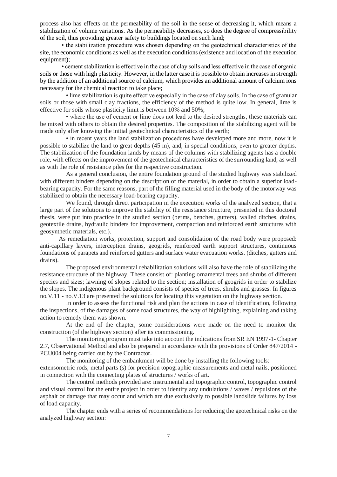process also has effects on the permeability of the soil in the sense of decreasing it, which means a stabilization of volume variations. As the permeability decreases, so does the degree of compressibility of the soil, thus providing greater safety to buildings located on such land;

• the stabilization procedure was chosen depending on the geotechnical characteristics of the site, the economic conditions as well as the execution conditions (existence and location of the execution equipment);

• cement stabilization is effective in the case of clay soils and less effective in the case of organic soils or those with high plasticity. However, in the latter case it is possible to obtain increases in strength by the addition of an additional source of calcium, which provides an additional amount of calcium ions necessary for the chemical reaction to take place;

• lime stabilization is quite effective especially in the case of clay soils. In the case of granular soils or those with small clay fractions, the efficiency of the method is quite low. In general, lime is effective for soils whose plasticity limit is between 10% and 50%;

• where the use of cement or lime does not lead to the desired strengths, these materials can be mixed with others to obtain the desired properties. The composition of the stabilizing agent will be made only after knowing the initial geotechnical characteristics of the earth;

• in recent years the land stabilization procedures have developed more and more, now it is possible to stabilize the land to great depths (45 m), and, in special conditions, even to greater depths. The stabilization of the foundation lands by means of the columns with stabilizing agents has a double role, with effects on the improvement of the geotechnical characteristics of the surrounding land, as well as with the role of resistance piles for the respective construction.

As a general conclusion, the entire foundation ground of the studied highway was stabilized with different binders depending on the description of the material, in order to obtain a superior loadbearing capacity. For the same reasons, part of the filling material used in the body of the motorway was stabilized to obtain the necessary load-bearing capacity.

We found, through direct participation in the execution works of the analyzed section, that a large part of the solutions to improve the stability of the resistance structure, presented in this doctoral thesis, were put into practice in the studied section (berms, benches, gutters), walled ditches, drains, geotextile drains, hydraulic binders for improvement, compaction and reinforced earth structures with geosynthetic materials, etc.).

 As remediation works, protection, support and consolidation of the road body were proposed: anti-capillary layers, interception drains, geogrids, reinforced earth support structures, continuous foundations of parapets and reinforced gutters and surface water evacuation works. (ditches, gutters and drains).

The proposed environmental rehabilitation solutions will also have the role of stabilizing the resistance structure of the highway. These consist of: planting ornamental trees and shrubs of different species and sizes; lawning of slopes related to the section; installation of geogrids in order to stabilize the slopes. The indigenous plant background consists of species of trees, shrubs and grasses. In figures no.V.11 - no.V.13 are presented the solutions for locating this vegetation on the highway section.

In order to assess the functional risk and plan the actions in case of identification, following the inspections, of the damages of some road structures, the way of highlighting, explaining and taking action to remedy them was shown.

At the end of the chapter, some considerations were made on the need to monitor the construction (of the highway section) after its commissioning.

The monitoring program must take into account the indications from SR EN 1997-1- Chapter 2.7, Observational Method and also be prepared in accordance with the provisions of Order 847/2014 - PCU004 being carried out by the Contractor.

The monitoring of the embankment will be done by installing the following tools:

extensometric rods, metal parts (s) for precision topographic measurements and metal nails, positioned in connection with the connecting plates of structures / works of art.

The control methods provided are: instrumental and topographic control, topographic control and visual control for the entire project in order to identify any undulations / waves / repulsions of the asphalt or damage that may occur and which are due exclusively to possible landslide failures by loss of load capacity.

The chapter ends with a series of recommendations for reducing the geotechnical risks on the analyzed highway section: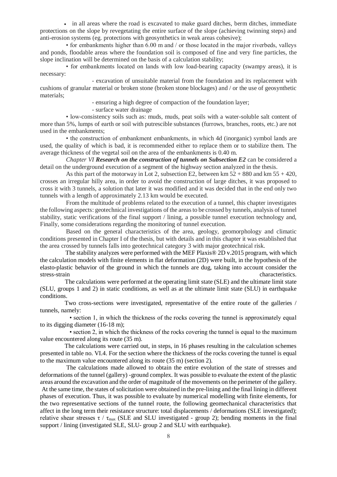• in all areas where the road is excavated to make guard ditches, berm ditches, immediate protections on the slope by revegetating the entire surface of the slope (achieving twinning steps) and anti-erosion systems (eg. protections with geosynthetics in weak areas cohesive);

• for embankments higher than 6.00 m and / or those located in the major riverbeds, valleys and ponds, floodable areas where the foundation soil is composed of fine and very fine particles, the slope inclination will be determined on the basis of a calculation stability;

• for embankments located on lands with low load-bearing capacity (swampy areas), it is necessary:

- excavation of unsuitable material from the foundation and its replacement with cushions of granular material or broken stone (broken stone blockages) and / or the use of geosynthetic materials;

- ensuring a high degree of compaction of the foundation layer;

- surface water drainage

• low-consistency soils such as: muds, muds, peat soils with a water-soluble salt content of more than 5%, lumps of earth or soil with putrescible substances (furrows, branches, roots, etc.) are not used in the embankments;

• the construction of embankment embankments, in which 4d (inorganic) symbol lands are used, the quality of which is bad, it is recommended either to replace them or to stabilize them. The average thickness of the vegetal soil on the area of the embankments is 0.40 m.

*Chapter VI Research on the construction of tunnels on Subsection E2* can be considered a detail on the underground execution of a segment of the highway section analyzed in the thesis.

As this part of the motorway in Lot 2, subsection E2, between km  $52 + 880$  and km  $55 + 420$ , crosses an irregular hilly area, in order to avoid the construction of large ditches, it was proposed to cross it with 3 tunnels, a solution that later it was modified and it was decided that in the end only two tunnels with a length of approximately 2.13 km would be executed.

From the multitude of problems related to the execution of a tunnel, this chapter investigates the following aspects: geotechnical investigations of the areas to be crossed by tunnels, analysis of tunnel stability, static verifications of the final support / lining, a possible tunnel execution technology and, Finally, some considerations regarding the monitoring of tunnel execution.

Based on the general characteristics of the area, geology, geomorphology and climatic conditions presented in Chapter I of the thesis, but with details and in this chapter it was established that the area crossed by tunnels falls into geotechnical category 3 with major geotechnical risk.

 The stability analyzes were performed with the MEF Plaxis® 2D v.2015 program, with which the calculation models with finite elements in flat deformation (2D) were built, in the hypothesis of the elasto-plastic behavior of the ground in which the tunnels are dug, taking into account consider the stress-strain characteristics.

 The calculations were performed at the operating limit state (SLE) and the ultimate limit state (SLU, groups 1 and 2) in static conditions, as well as at the ultimate limit state (SLU) in earthquake conditions.

 Two cross-sections were investigated, representative of the entire route of the galleries / tunnels, namely:

 • section 1, in which the thickness of the rocks covering the tunnel is approximately equal to its digging diameter (16-18 m);

 • section 2, in which the thickness of the rocks covering the tunnel is equal to the maximum value encountered along its route (35 m).

 The calculations were carried out, in steps, in 16 phases resulting in the calculation schemes presented in table no. VI.4. For the section where the thickness of the rocks covering the tunnel is equal to the maximum value encountered along its route (35 m) (section 2).

 The calculations made allowed to obtain the entire evolution of the state of stresses and deformations of the tunnel (gallery) -ground complex. It was possible to evaluate the extent of the plastic areas around the excavation and the order of magnitude of the movements on the perimeter of the gallery.

At the same time, the states of solicitation were obtained in the pre-lining and the final lining in different phases of execution. Thus, it was possible to evaluate by numerical modelling with finite elements, for the two representative sections of the tunnel route, the following geomechanical characteristics that affect in the long term their resistance structure: total displacements / deformations (SLE investigated); relative shear stresses  $\tau / \tau_{\text{max}}$  (SLE and SLU investigated - group 2); bending moments in the final support / lining (investigated SLE, SLU- group 2 and SLU with earthquake).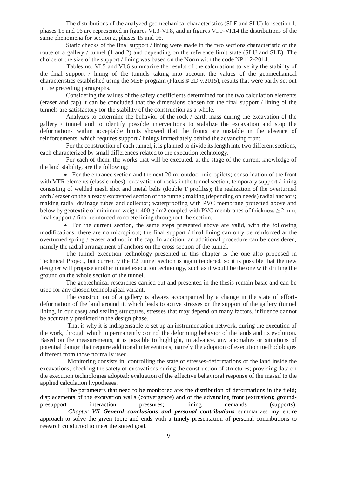The distributions of the analyzed geomechanical characteristics (SLE and SLU) for section 1, phases 15 and 16 are represented in figures VI.3-VI.8, and in figures VI.9-VI.14 the distributions of the same phenomena for section 2, phases 15 and 16.

Static checks of the final support / lining were made in the two sections characteristic of the route of a gallery / tunnel (1 and 2) and depending on the reference limit state (SLU and SLE). The choice of the size of the support / lining was based on the Norm with the code NP112-2014.

 Tables no. VI.5 and VI.6 summarize the results of the calculations to verify the stability of the final support / lining of the tunnels taking into account the values of the geomechanical characteristics established using the MEF program (Plaxis® 2D v.2015), results that were partly set out in the preceding paragraphs.

Considering the values of the safety coefficients determined for the two calculation elements (eraser and cap) it can be concluded that the dimensions chosen for the final support / lining of the tunnels are satisfactory for the stability of the construction as a whole.

Analyzes to determine the behavior of the rock / earth mass during the excavation of the gallery / tunnel and to identify possible interventions to stabilize the excavation and stop the deformations within acceptable limits showed that the fronts are unstable in the absence of reinforcements, which requires support / linings immediately behind the advancing front.

For the construction of each tunnel, it is planned to divide its length into two different sections, each characterized by small differences related to the execution technology.

For each of them, the works that will be executed, at the stage of the current knowledge of the land stability, are the following:

• For the entrance section and the next 20 m: outdoor micropilots; consolidation of the front with VTR elements (classic tubes); excavation of rocks in the tunnel section; temporary support / lining consisting of welded mesh shot and metal belts (double T profiles); the realization of the overturned arch / eraser on the already excavated section of the tunnel; making (depending on needs) radial anchors; making radial drainage tubes and collector; waterproofing with PVC membrane protected above and below by geotextile of minimum weight 400 g / m2 coupled with PVC membranes of thickness  $\geq$  2 mm; final support / final reinforced concrete lining throughout the section.

• For the current section, the same steps presented above are valid, with the following modifications: there are no micropilots; the final support / final lining can only be reinforced at the overturned spring / eraser and not in the cap. In addition, an additional procedure can be considered, namely the radial arrangement of anchors on the cross section of the tunnel.

The tunnel execution technology presented in this chapter is the one also proposed in Technical Project, but currently the E2 tunnel section is again tendered, so it is possible that the new designer will propose another tunnel execution technology, such as it would be the one with drilling the ground on the whole section of the tunnel.

The geotechnical researches carried out and presented in the thesis remain basic and can be used for any chosen technological variant.

 The construction of a gallery is always accompanied by a change in the state of effortdeformation of the land around it, which leads to active stresses on the support of the gallery (tunnel lining, in our case) and sealing structures, stresses that may depend on many factors. influence cannot be accurately predicted in the design phase.

 That is why it is indispensable to set up an instrumentation network, during the execution of the work, through which to permanently control the deforming behavior of the lands and its evolution. Based on the measurements, it is possible to highlight, in advance, any anomalies or situations of potential danger that require additional interventions, namely the adoption of execution methodologies different from those normally used.

 Monitoring consists in: controlling the state of stresses-deformations of the land inside the excavations; checking the safety of excavations during the construction of structures; providing data on the execution technologies adopted; evaluation of the effective behavioral response of the massif to the applied calculation hypotheses.

 The parameters that need to be monitored are: the distribution of deformations in the field; displacements of the excavation walls (convergence) and of the advancing front (extrusion); groundpresupport interaction pressures; lining demands (supports).

 *Chapter VII General conclusions and personal contributions* summarizes my entire approach to solve the given topic and ends with a timely presentation of personal contributions to research conducted to meet the stated goal.